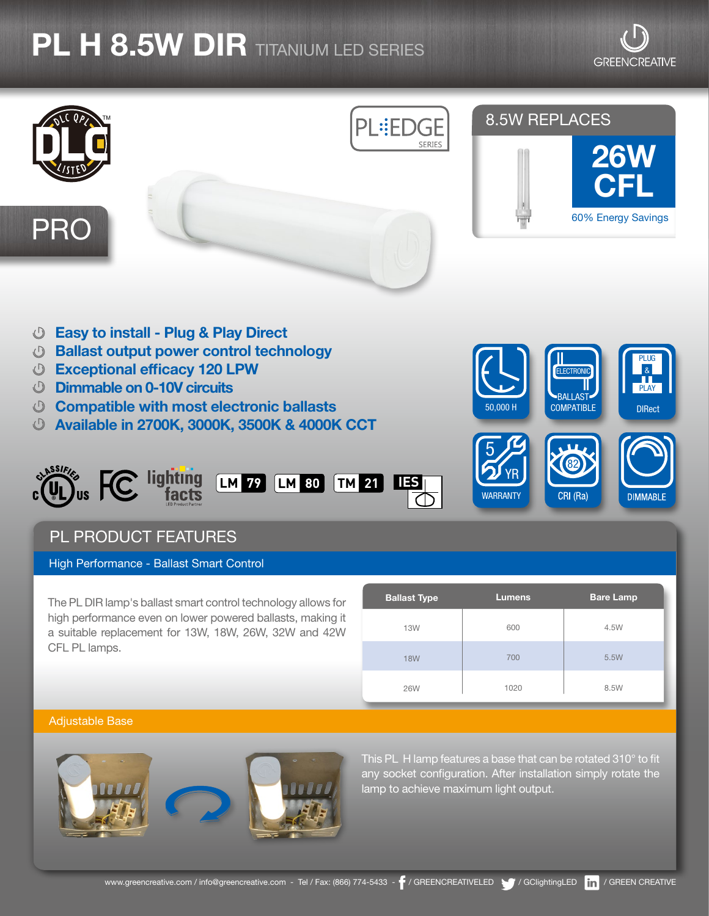# **PL H 8.5W DIR** TITANIUM LED SERIES